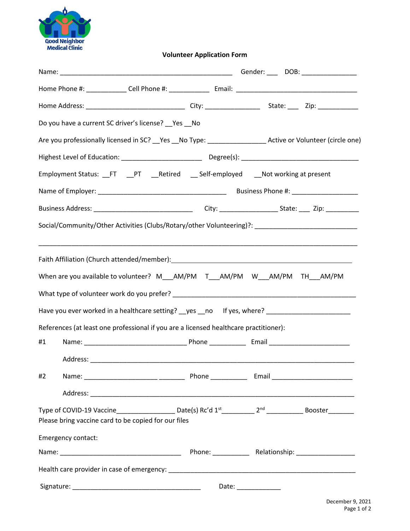

**Volunteer Application Form**

|                                                                                       |                    | Do you have a current SC driver's license? __ Yes __ No                                                                                                                                                                                                                                  |  |                     |  |  |  |
|---------------------------------------------------------------------------------------|--------------------|------------------------------------------------------------------------------------------------------------------------------------------------------------------------------------------------------------------------------------------------------------------------------------------|--|---------------------|--|--|--|
|                                                                                       |                    | Are you professionally licensed in SC? __ Yes __ No Type: _______________________ Active or Volunteer (circle one)                                                                                                                                                                       |  |                     |  |  |  |
|                                                                                       |                    |                                                                                                                                                                                                                                                                                          |  |                     |  |  |  |
|                                                                                       |                    | Employment Status: _FT _PT _Retired _Self-employed _Not working at present                                                                                                                                                                                                               |  |                     |  |  |  |
|                                                                                       |                    |                                                                                                                                                                                                                                                                                          |  |                     |  |  |  |
|                                                                                       |                    |                                                                                                                                                                                                                                                                                          |  |                     |  |  |  |
|                                                                                       |                    | Social/Community/Other Activities (Clubs/Rotary/other Volunteering)?: _____________________________                                                                                                                                                                                      |  |                     |  |  |  |
|                                                                                       |                    | Faith Affiliation (Church attended/member): 1997). [19] Taith Affiliation (Church attended/member):<br>When are you available to volunteer? M__AM/PM T__AM/PM W__AM/PM TH__AM/PM<br>Have you ever worked in a healthcare setting? yes no lf yes, where? ________________________________ |  |                     |  |  |  |
| References (at least one professional if you are a licensed healthcare practitioner): |                    |                                                                                                                                                                                                                                                                                          |  |                     |  |  |  |
| #1                                                                                    |                    |                                                                                                                                                                                                                                                                                          |  |                     |  |  |  |
| #2                                                                                    |                    |                                                                                                                                                                                                                                                                                          |  |                     |  |  |  |
|                                                                                       |                    |                                                                                                                                                                                                                                                                                          |  |                     |  |  |  |
|                                                                                       |                    | Type of COVID-19 Vaccine_____________________Date(s) Rc'd 1 <sup>st</sup> ___________2 <sup>nd</sup> ________________Booster_________<br>Please bring vaccine card to be copied for our files                                                                                            |  |                     |  |  |  |
|                                                                                       | Emergency contact: |                                                                                                                                                                                                                                                                                          |  |                     |  |  |  |
|                                                                                       |                    |                                                                                                                                                                                                                                                                                          |  |                     |  |  |  |
|                                                                                       |                    |                                                                                                                                                                                                                                                                                          |  |                     |  |  |  |
|                                                                                       |                    |                                                                                                                                                                                                                                                                                          |  | Date: _____________ |  |  |  |